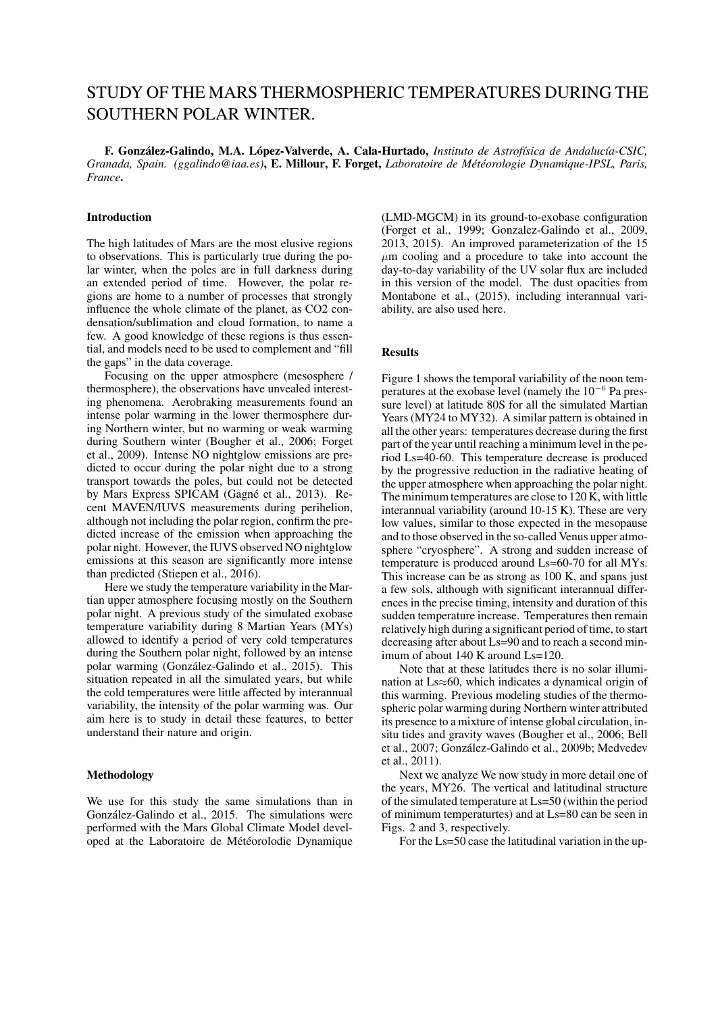# STUDY OF THE MARS THERMOSPHERIC TEMPERATURES DURING THE SOUTHERN POLAR WINTER.

F. González-Galindo, M.A. López-Valverde, A. Cala-Hurtado, *Instituto de Astrofísica de Andalucía-CSIC*, *Granada, Spain. (ggalindo@iaa.es)*, E. Millour, F. Forget, *Laboratoire de Met´ eorologie Dynamique-IPSL, Paris, ´ France*.

## Introduction

The high latitudes of Mars are the most elusive regions to observations. This is particularly true during the polar winter, when the poles are in full darkness during an extended period of time. However, the polar regions are home to a number of processes that strongly influence the whole climate of the planet, as CO2 condensation/sublimation and cloud formation, to name a few. A good knowledge of these regions is thus essential, and models need to be used to complement and "fill the gaps" in the data coverage.

Focusing on the upper atmosphere (mesosphere / thermosphere), the observations have unvealed interesting phenomena. Aerobraking measurements found an intense polar warming in the lower thermosphere during Northern winter, but no warming or weak warming during Southern winter (Bougher et al., 2006; Forget et al., 2009). Intense NO nightglow emissions are predicted to occur during the polar night due to a strong transport towards the poles, but could not be detected by Mars Express SPICAM (Gagné et al., 2013). Recent MAVEN/IUVS measurements during perihelion, although not including the polar region, confirm the predicted increase of the emission when approaching the polar night. However, the IUVS observed NO nightglow emissions at this season are significantly more intense than predicted (Stiepen et al., 2016).

Here we study the temperature variability in the Martian upper atmosphere focusing mostly on the Southern polar night. A previous study of the simulated exobase temperature variability during 8 Martian Years (MYs) allowed to identify a period of very cold temperatures during the Southern polar night, followed by an intense polar warming (González-Galindo et al., 2015). This situation repeated in all the simulated years, but while the cold temperatures were little affected by interannual variability, the intensity of the polar warming was. Our aim here is to study in detail these features, to better understand their nature and origin.

#### Methodology

We use for this study the same simulations than in González-Galindo et al., 2015. The simulations were performed with the Mars Global Climate Model developed at the Laboratoire de Météorolodie Dynamique (LMD-MGCM) in its ground-to-exobase configuration (Forget et al., 1999; Gonzalez-Galindo et al., 2009, 2013, 2015). An improved parameterization of the 15  $\mu$ m cooling and a procedure to take into account the day-to-day variability of the UV solar flux are included in this version of the model. The dust opacities from Montabone et al., (2015), including interannual variability, are also used here.

## **Results**

Figure 1 shows the temporal variability of the noon temperatures at the exobase level (namely the 10<sup>−</sup><sup>6</sup> Pa pressure level) at latitude 80S for all the simulated Martian Years (MY24 to MY32). A similar pattern is obtained in all the other years: temperatures decrease during the first part of the year until reaching a minimum level in the period Ls=40-60. This temperature decrease is produced by the progressive reduction in the radiative heating of the upper atmosphere when approaching the polar night. The minimum temperatures are close to 120 K, with little interannual variability (around 10-15 K). These are very low values, similar to those expected in the mesopause and to those observed in the so-called Venus upper atmosphere "cryosphere". A strong and sudden increase of temperature is produced around Ls=60-70 for all MYs. This increase can be as strong as 100 K, and spans just a few sols, although with significant interannual differences in the precise timing, intensity and duration of this sudden temperature increase. Temperatures then remain relatively high during a significant period of time, to start decreasing after about Ls=90 and to reach a second minimum of about 140 K around Ls=120.

Note that at these latitudes there is no solar illumination at Ls≈60, which indicates a dynamical origin of this warming. Previous modeling studies of the thermospheric polar warming during Northern winter attributed its presence to a mixture of intense global circulation, insitu tides and gravity waves (Bougher et al., 2006; Bell et al., 2007; González-Galindo et al., 2009b; Medvedev et al., 2011).

Next we analyze We now study in more detail one of the years, MY26. The vertical and latitudinal structure of the simulated temperature at Ls=50 (within the period of minimum temperaturtes) and at Ls=80 can be seen in Figs. 2 and 3, respectively.

For the Ls=50 case the latitudinal variation in the up-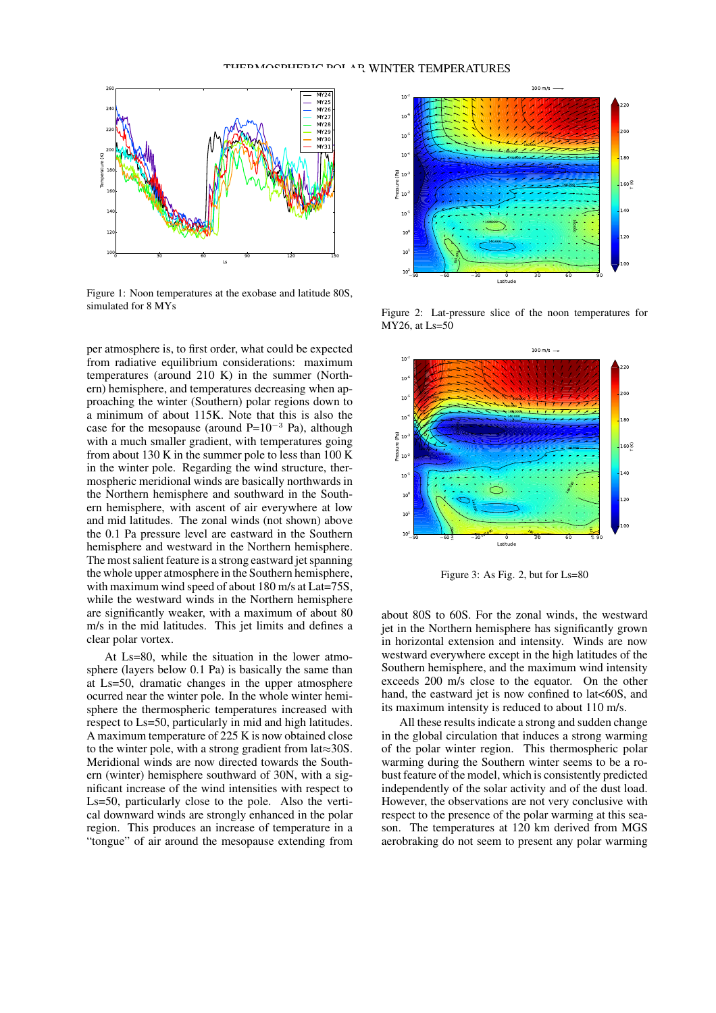

Figure 1: Noon temperatures at the exobase and latitude 80S, simulated for 8 MYs

per atmosphere is, to first order, what could be expected from radiative equilibrium considerations: maximum temperatures (around 210 K) in the summer (Northern) hemisphere, and temperatures decreasing when approaching the winter (Southern) polar regions down to a minimum of about 115K. Note that this is also the case for the mesopause (around  $P=10^{-3}$  Pa), although with a much smaller gradient, with temperatures going from about 130 K in the summer pole to less than 100 K in the winter pole. Regarding the wind structure, thermospheric meridional winds are basically northwards in the Northern hemisphere and southward in the Southern hemisphere, with ascent of air everywhere at low and mid latitudes. The zonal winds (not shown) above the 0.1 Pa pressure level are eastward in the Southern hemisphere and westward in the Northern hemisphere. The most salient feature is a strong eastward jet spanning the whole upper atmosphere in the Southern hemisphere, with maximum wind speed of about 180 m/s at Lat=75S, while the westward winds in the Northern hemisphere are significantly weaker, with a maximum of about 80 m/s in the mid latitudes. This jet limits and defines a clear polar vortex.

At Ls=80, while the situation in the lower atmosphere (layers below 0.1 Pa) is basically the same than at Ls=50, dramatic changes in the upper atmosphere ocurred near the winter pole. In the whole winter hemisphere the thermospheric temperatures increased with respect to Ls=50, particularly in mid and high latitudes. A maximum temperature of 225 K is now obtained close to the winter pole, with a strong gradient from lat≈30S. Meridional winds are now directed towards the Southern (winter) hemisphere southward of 30N, with a significant increase of the wind intensities with respect to Ls=50, particularly close to the pole. Also the vertical downward winds are strongly enhanced in the polar region. This produces an increase of temperature in a "tongue" of air around the mesopause extending from



Figure 2: Lat-pressure slice of the noon temperatures for MY26, at Ls=50



Figure 3: As Fig. 2, but for Ls=80

about 80S to 60S. For the zonal winds, the westward jet in the Northern hemisphere has significantly grown in horizontal extension and intensity. Winds are now westward everywhere except in the high latitudes of the Southern hemisphere, and the maximum wind intensity exceeds 200 m/s close to the equator. On the other hand, the eastward jet is now confined to lat<60S, and its maximum intensity is reduced to about 110 m/s.

All these results indicate a strong and sudden change in the global circulation that induces a strong warming of the polar winter region. This thermospheric polar warming during the Southern winter seems to be a robust feature of the model, which is consistently predicted independently of the solar activity and of the dust load. However, the observations are not very conclusive with respect to the presence of the polar warming at this season. The temperatures at 120 km derived from MGS aerobraking do not seem to present any polar warming